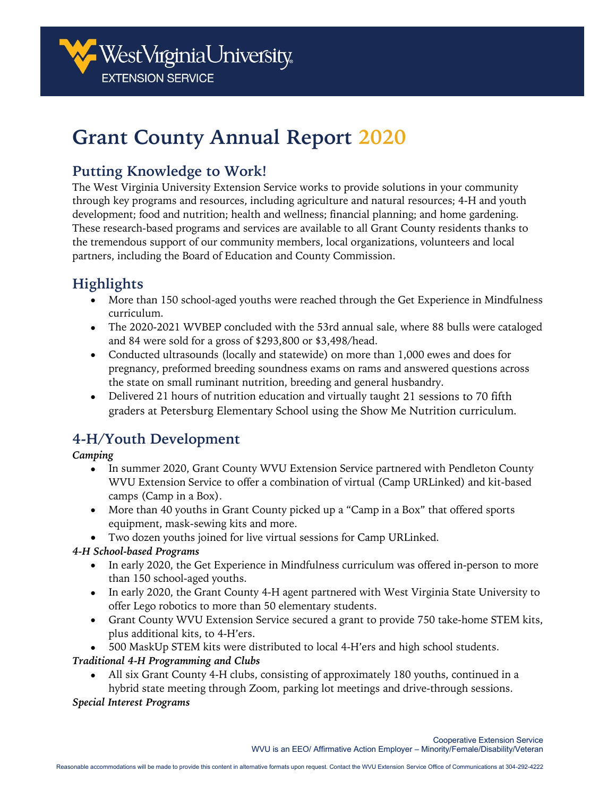

# **Grant County Annual Report 2020**

### **Putting Knowledge to Work!**

The West Virginia University Extension Service works to provide solutions in your community through key programs and resources, including agriculture and natural resources; 4-H and youth development; food and nutrition; health and wellness; financial planning; and home gardening. These research-based programs and services are available to all Grant County residents thanks to the tremendous support of our community members, local organizations, volunteers and local partners, including the Board of Education and County Commission.

### **Highlights**

- More than 150 school-aged youths were reached through the Get Experience in Mindfulness curriculum.
- The 2020-2021 WVBEP concluded with the 53rd annual sale, where 88 bulls were cataloged and 84 were sold for a gross of \$293,800 or \$3,498/head.
- Conducted ultrasounds (locally and statewide) on more than 1,000 ewes and does for pregnancy, preformed breeding soundness exams on rams and answered questions across the state on small ruminant nutrition, breeding and general husbandry.
- Delivered 21 hours of nutrition education and virtually taught 21 sessions to 70 fifth graders at Petersburg Elementary School using the Show Me Nutrition curriculum.

### **4-H/Youth Development**

### *Camping*

- In summer 2020, Grant County WVU Extension Service partnered with Pendleton County WVU Extension Service to offer a combination of virtual (Camp URLinked) and kit-based camps (Camp in a Box).
- More than 40 youths in Grant County picked up a "Camp in a Box" that offered sports equipment, mask-sewing kits and more.
- Two dozen youths joined for live virtual sessions for Camp URLinked.

### *4-H School-based Programs*

- In early 2020, the Get Experience in Mindfulness curriculum was offered in-person to more than 150 school-aged youths.
- In early 2020, the Grant County 4-H agent partnered with West Virginia State University to offer Lego robotics to more than 50 elementary students.
- Grant County WVU Extension Service secured a grant to provide 750 take-home STEM kits, plus additional kits, to 4-H'ers.
- 500 MaskUp STEM kits were distributed to local 4-H'ers and high school students.

*Traditional 4-H Programming and Clubs*

• All six Grant County 4-H clubs, consisting of approximately 180 youths, continued in a hybrid state meeting through Zoom, parking lot meetings and drive-through sessions.

### *Special Interest Programs*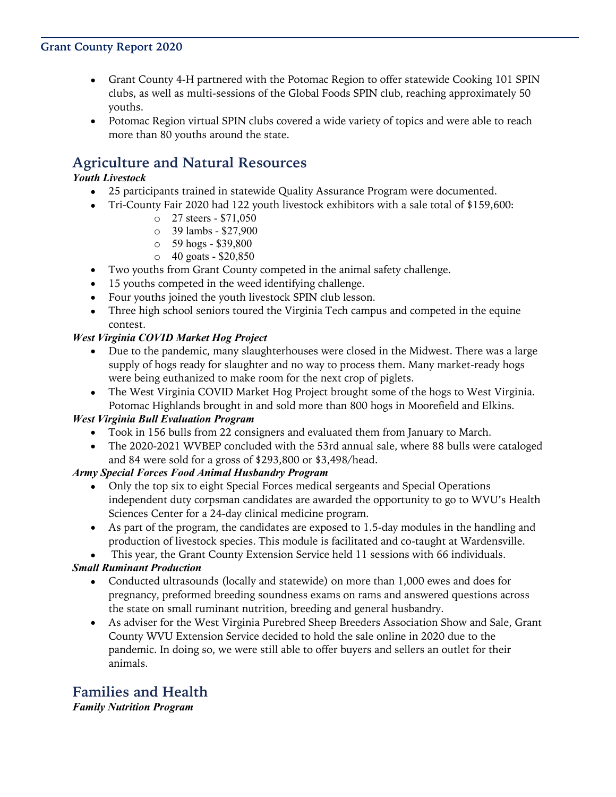### **Grant County Report 2020**

- Grant County 4-H partnered with the Potomac Region to offer statewide Cooking 101 SPIN clubs, as well as multi-sessions of the Global Foods SPIN club, reaching approximately 50 youths.
- Potomac Region virtual SPIN clubs covered a wide variety of topics and were able to reach more than 80 youths around the state.

### **Agriculture and Natural Resources**

#### *Youth Livestock*

- 25 participants trained in statewide Quality Assurance Program were documented.
- Tri-County Fair 2020 had 122 youth livestock exhibitors with a sale total of \$159,600:
	- o 27 steers \$71,050
	- o 39 lambs \$27,900
	- o 59 hogs \$39,800
	- o 40 goats \$20,850
- Two youths from Grant County competed in the animal safety challenge.
- 15 youths competed in the weed identifying challenge.
- Four youths joined the youth livestock SPIN club lesson.
- Three high school seniors toured the Virginia Tech campus and competed in the equine contest.

#### *West Virginia COVID Market Hog Project*

- Due to the pandemic, many slaughterhouses were closed in the Midwest. There was a large supply of hogs ready for slaughter and no way to process them. Many market-ready hogs were being euthanized to make room for the next crop of piglets.
- The West Virginia COVID Market Hog Project brought some of the hogs to West Virginia. Potomac Highlands brought in and sold more than 800 hogs in Moorefield and Elkins.

#### *West Virginia Bull Evaluation Program*

- Took in 156 bulls from 22 consigners and evaluated them from January to March.
- The 2020-2021 WVBEP concluded with the 53rd annual sale, where 88 bulls were cataloged and 84 were sold for a gross of \$293,800 or \$3,498/head.

#### *Army Special Forces Food Animal Husbandry Program*

- Only the top six to eight Special Forces medical sergeants and Special Operations independent duty corpsman candidates are awarded the opportunity to go to WVU's Health Sciences Center for a 24-day clinical medicine program.
- As part of the program, the candidates are exposed to 1.5-day modules in the handling and production of livestock species. This module is facilitated and co-taught at Wardensville.
- This year, the Grant County Extension Service held 11 sessions with 66 individuals.

### *Small Ruminant Production*

- Conducted ultrasounds (locally and statewide) on more than 1,000 ewes and does for pregnancy, preformed breeding soundness exams on rams and answered questions across the state on small ruminant nutrition, breeding and general husbandry.
- As adviser for the West Virginia Purebred Sheep Breeders Association Show and Sale, Grant County WVU Extension Service decided to hold the sale online in 2020 due to the pandemic. In doing so, we were still able to offer buyers and sellers an outlet for their animals.

## **Families and Health**

*Family Nutrition Program*